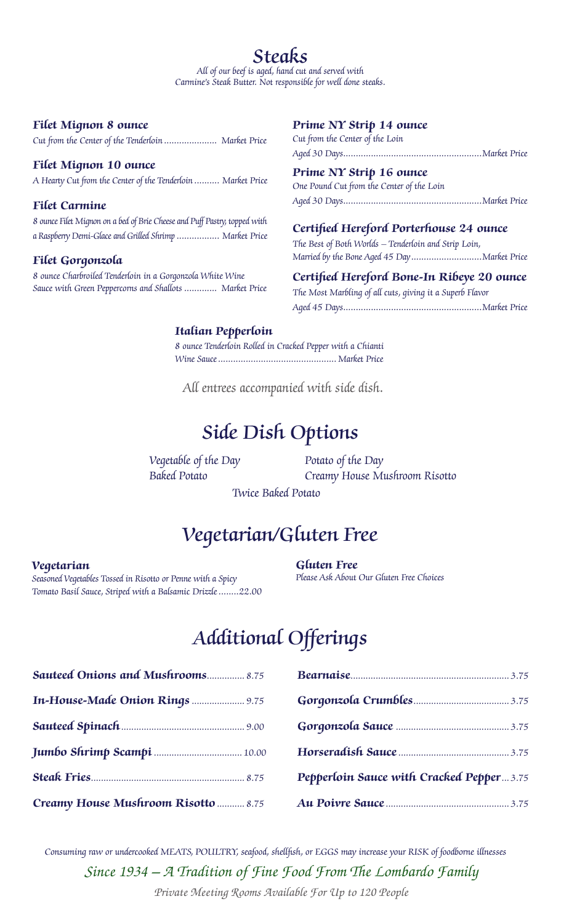## **Filet Mignon 8 ounce**

Cut from the Center of the Tenderloin ..................... Market Price

### **Filet Mignon 10 ounce**

A Hearty Cut from the Center of the Tenderloin .......... Market Price

### **Filet Carmine**

8 ounce Filet Mignon on a bed of Brie Cheese and Puff Pastry, topped with a Raspberry Demi-Glace and Grilled Shrimp................. Market Price

## **Filet Gorgonzola**

8 ounce Charbroiled Tenderloin in a Gorgonzola White Wine Sauce with Green Peppercorns and Shallots ............. Market Price

### **Prime NY Strip 14 ounce**

Cut from the Center of the Loin Aged 30 Days.......................................................Market Price

#### **Prime NY Strip 16 ounce**

One Pound Cut from the Center of the Loin Aged 30 Days.......................................................Market Price

### **Certified Hereford Porterhouse 24 ounce**

The Best of Both Worlds – Tenderloin and Strip Loin, Married by the Bone Aged 45 Day............................Market Price

## **Certified Hereford Bone-In Ribeye 20 ounce**

The Most Marbling of all cuts, giving it a Superb Flavor Aged 45 Days.......................................................Market Price

### **Italian Pepperloin**

8 ounce Tenderloin Rolled in Cracked Pepper with a Chianti Wine Sauce............................................... Market Price

All entrees accompanied with side dish.

# Side Dish Options

Vegetable of the Day Baked Potato

Potato of the Day Creamy House Mushroom Risotto

Twice Baked Potato

# Vegetarian/Gluten Free

### **Vegetarian**

Seasoned Vegetables Tossed in Risotto or Penne with a Spicy Tomato Basil Sauce, Striped with a Balsamic Drizzle........22.00 **Gluten Free** Please Ask About Our Gluten Free Choices

# Additional Offerings

| <b>Sauteed Onions and Mushrooms 8.75</b> |                                          |  |
|------------------------------------------|------------------------------------------|--|
| In-House-Made Onion Rings  9.75          |                                          |  |
|                                          |                                          |  |
|                                          |                                          |  |
|                                          | Pepperloin Sauce with Cracked Pepper3.75 |  |
| Creamy House Mushroom Risotto  8.75      |                                          |  |

*Since 1934 – A Tradition of Fine Food From The Lombardo Family* Consuming raw or undercooked MEATS, POULTRY, seafood, shellfish, or EGGS may increase your RISK of foodborne illnesses

*Private Meeting Rooms Available For Up to 120 People*